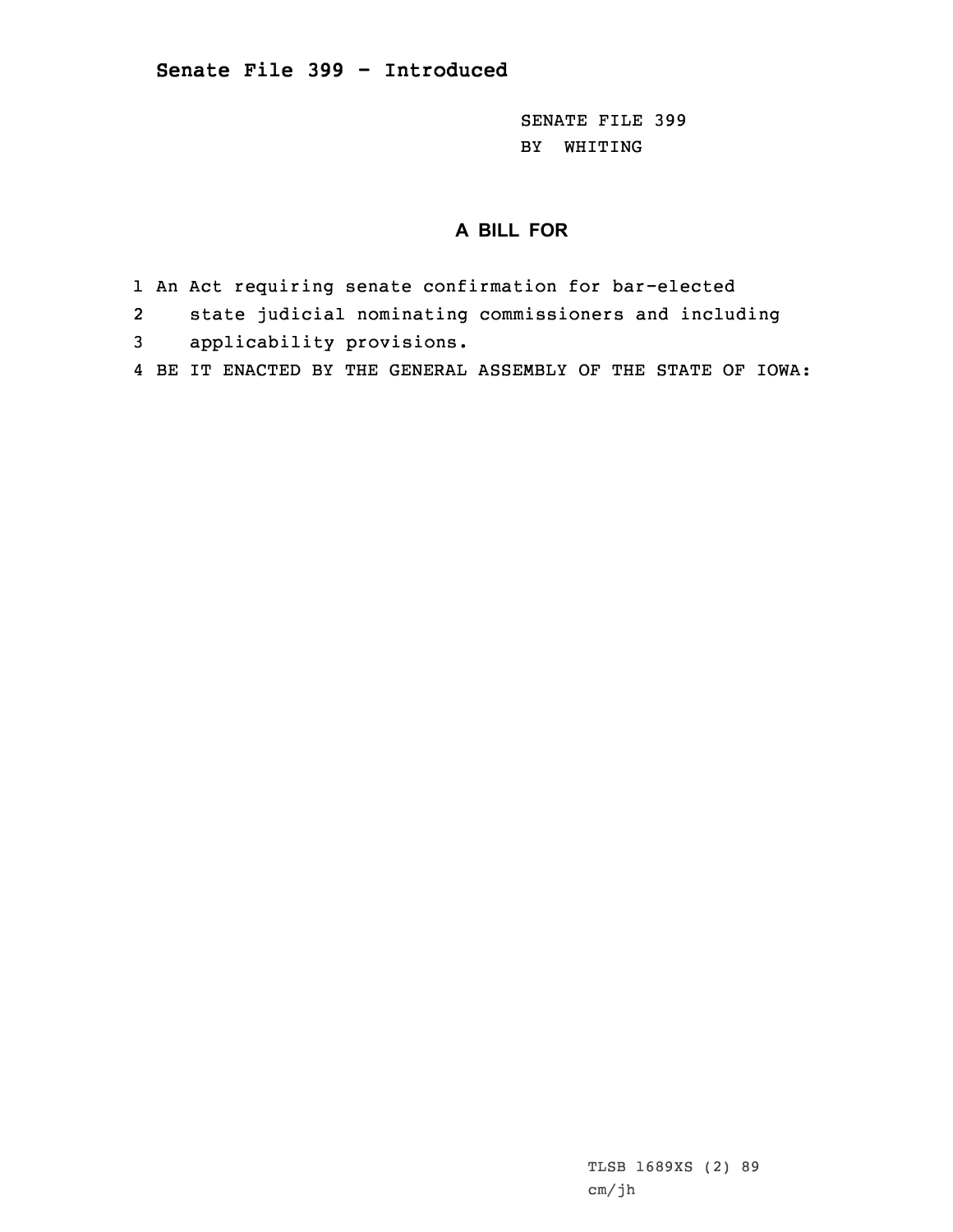SENATE FILE 399 BY WHITING

## **A BILL FOR**

- 1 An Act requiring senate confirmation for bar-elected
- 2state judicial nominating commissioners and including
- 3 applicability provisions.
- 4 BE IT ENACTED BY THE GENERAL ASSEMBLY OF THE STATE OF IOWA: